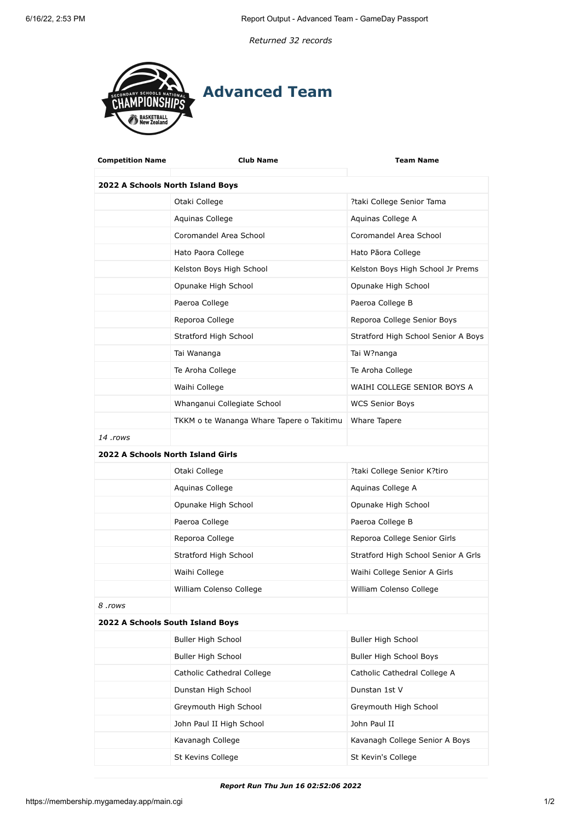*Returned 32 records*



| <b>Competition Name</b>           | Club Name                                 | <b>Team Name</b>                    |  |
|-----------------------------------|-------------------------------------------|-------------------------------------|--|
| 2022 A Schools North Island Boys  |                                           |                                     |  |
|                                   | Otaki College                             | ?taki College Senior Tama           |  |
|                                   | Aquinas College                           | Aquinas College A                   |  |
|                                   | Coromandel Area School                    | Coromandel Area School              |  |
|                                   | Hato Paora College                        | Hato Pāora College                  |  |
|                                   | Kelston Boys High School                  | Kelston Boys High School Jr Prems   |  |
|                                   | Opunake High School                       | Opunake High School                 |  |
|                                   | Paeroa College                            | Paeroa College B                    |  |
|                                   | Reporoa College                           | Reporoa College Senior Boys         |  |
|                                   | Stratford High School                     | Stratford High School Senior A Boys |  |
|                                   | Tai Wananga                               | Tai W?nanga                         |  |
|                                   | Te Aroha College                          | Te Aroha College                    |  |
|                                   | Waihi College                             | WAIHI COLLEGE SENIOR BOYS A         |  |
|                                   | Whanganui Collegiate School               | <b>WCS Senior Boys</b>              |  |
|                                   | TKKM o te Wananga Whare Tapere o Takitimu | Whare Tapere                        |  |
| 14 .rows                          |                                           |                                     |  |
| 2022 A Schools North Island Girls |                                           |                                     |  |
|                                   | Otaki College                             | ?taki College Senior K?tiro         |  |
|                                   | Aquinas College                           | Aquinas College A                   |  |
|                                   | Opunake High School                       | Opunake High School                 |  |
|                                   | Paeroa College                            | Paeroa College B                    |  |
|                                   | Reporoa College                           | Reporoa College Senior Girls        |  |
|                                   | Stratford High School                     | Stratford High School Senior A Grls |  |
|                                   | Waihi College                             | Waihi College Senior A Girls        |  |
|                                   | William Colenso College                   | William Colenso College             |  |
| 8.rows                            |                                           |                                     |  |
| 2022 A Schools South Island Boys  |                                           |                                     |  |
|                                   | Buller High School                        | Buller High School                  |  |
|                                   | <b>Buller High School</b>                 | Buller High School Boys             |  |
|                                   | Catholic Cathedral College                | Catholic Cathedral College A        |  |
|                                   | Dunstan High School                       | Dunstan 1st V                       |  |
|                                   | Greymouth High School                     | Greymouth High School               |  |
|                                   | John Paul II High School                  | John Paul II                        |  |
|                                   | Kavanagh College                          | Kavanagh College Senior A Boys      |  |
|                                   | St Kevins College                         | St Kevin's College                  |  |